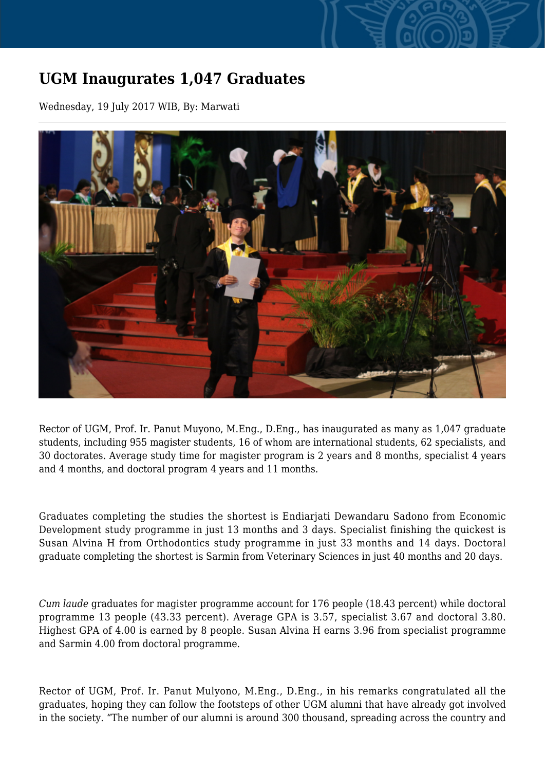## **UGM Inaugurates 1,047 Graduates**

Wednesday, 19 July 2017 WIB, By: Marwati



Rector of UGM, Prof. Ir. Panut Muyono, M.Eng., D.Eng., has inaugurated as many as 1,047 graduate students, including 955 magister students, 16 of whom are international students, 62 specialists, and 30 doctorates. Average study time for magister program is 2 years and 8 months, specialist 4 years and 4 months, and doctoral program 4 years and 11 months.

Graduates completing the studies the shortest is Endiarjati Dewandaru Sadono from Economic Development study programme in just 13 months and 3 days. Specialist finishing the quickest is Susan Alvina H from Orthodontics study programme in just 33 months and 14 days. Doctoral graduate completing the shortest is Sarmin from Veterinary Sciences in just 40 months and 20 days.

*Cum laude* graduates for magister programme account for 176 people (18.43 percent) while doctoral programme 13 people (43.33 percent). Average GPA is 3.57, specialist 3.67 and doctoral 3.80. Highest GPA of 4.00 is earned by 8 people. Susan Alvina H earns 3.96 from specialist programme and Sarmin 4.00 from doctoral programme.

Rector of UGM, Prof. Ir. Panut Mulyono, M.Eng., D.Eng., in his remarks congratulated all the graduates, hoping they can follow the footsteps of other UGM alumni that have already got involved in the society. "The number of our alumni is around 300 thousand, spreading across the country and